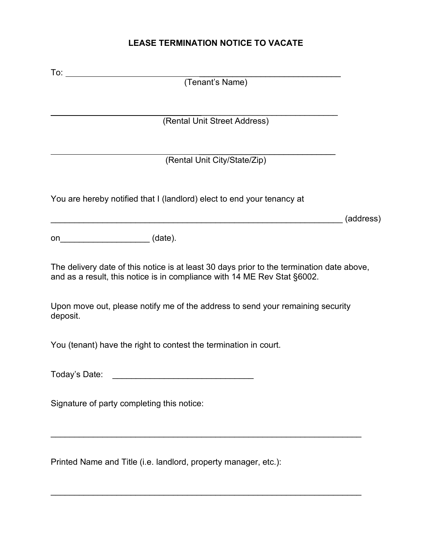# **LEASE TERMINATION NOTICE TO VACATE**

| (Tenant's Name)                                                                                                                                                       |           |
|-----------------------------------------------------------------------------------------------------------------------------------------------------------------------|-----------|
|                                                                                                                                                                       |           |
| (Rental Unit Street Address)                                                                                                                                          |           |
|                                                                                                                                                                       |           |
| (Rental Unit City/State/Zip)                                                                                                                                          |           |
|                                                                                                                                                                       |           |
| You are hereby notified that I (landlord) elect to end your tenancy at                                                                                                |           |
|                                                                                                                                                                       | (address) |
| on__________________________(date).                                                                                                                                   |           |
| The delivery date of this notice is at least 30 days prior to the termination date above,<br>and as a result, this notice is in compliance with 14 ME Rev Stat §6002. |           |
| Upon move out, please notify me of the address to send your remaining security<br>deposit.                                                                            |           |
| You (tenant) have the right to contest the termination in court.                                                                                                      |           |
| Today's Date:                                                                                                                                                         |           |
| Signature of party completing this notice:                                                                                                                            |           |
| Printed Name and Title (i.e. landlord, property manager, etc.):                                                                                                       |           |

\_\_\_\_\_\_\_\_\_\_\_\_\_\_\_\_\_\_\_\_\_\_\_\_\_\_\_\_\_\_\_\_\_\_\_\_\_\_\_\_\_\_\_\_\_\_\_\_\_\_\_\_\_\_\_\_\_\_\_\_\_\_\_\_\_\_